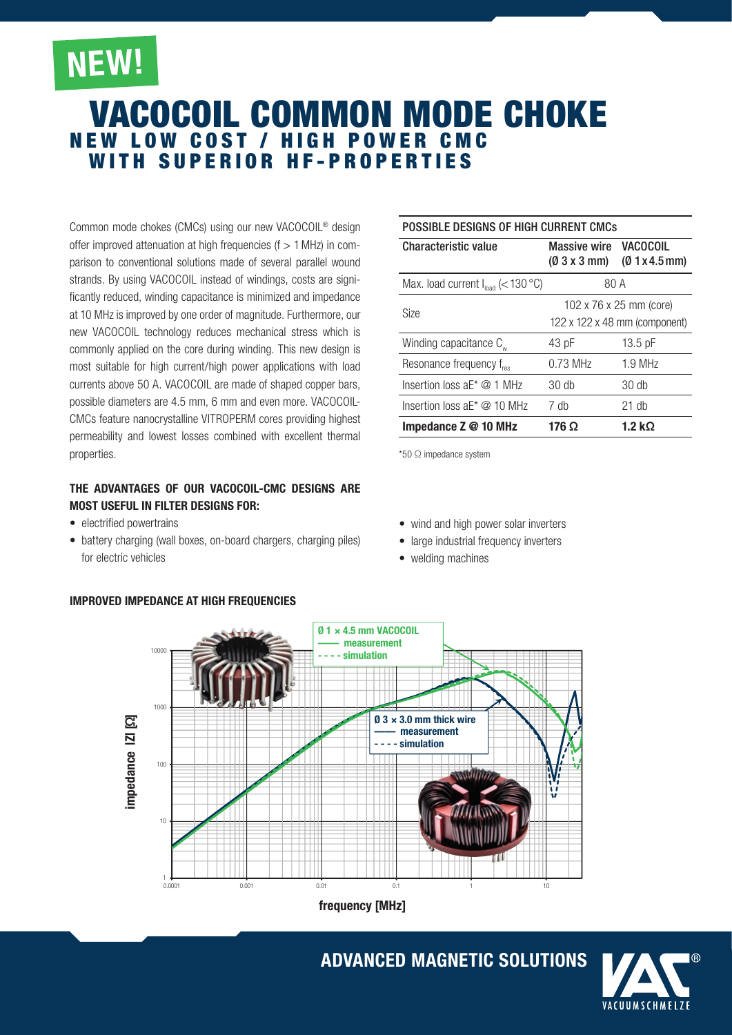# NEW!

## VACOcoil COMMON MODE CHOKE NEW LOW COST / HIGH POWER CMC<br>WITH SUPERIOR HF-PROPERTIES

Common mode chokes (CMCs) using our new VACOCOIL® design offer improved attenuation at high frequencies ( $f > 1$  MHz) in comparison to conventional solutions made of several parallel wound strands. By using VACOCOIL instead of windings, costs are significantly reduced, winding capacitance is minimized and impedance at 10 MHz is improved by one order of magnitude. Furthermore, our new VACOCOIL technology reduces mechanical stress which is commonly applied on the core during winding. This new design is most suitable for high current/high power applications with load currents above 50 A. VACOCOIL are made of shaped copper bars, possible diameters are 4.5 mm, 6 mm and even more. VACOCOIL-CMCs feature nanocrystalline VITROPERM cores providing highest permeability and lowest losses combined with excellent thermal properties.

#### The advantages of our VACOCOIL-CMC Designs are most useful in Filter designs for:

- electrified powertrains
- battery charging (wall boxes, on-board chargers, charging piles) for electric vehicles

### Possible designs of high current CMCs

| <b>Characteristic value</b>             | Massive wire VACOCOIL<br>$(0.3 \times 3 \text{ mm})$     | (01x4.5mm)     |
|-----------------------------------------|----------------------------------------------------------|----------------|
| Max. load current $I_{load}$ (< 130 °C) | 80 A                                                     |                |
| <b>Size</b>                             | 102 x 76 x 25 mm (core)<br>122 x 122 x 48 mm (component) |                |
| Winding capacitance C <sub>ur</sub>     | 43 pF                                                    | $13.5$ pF      |
| Resonance frequency f <sub>res</sub>    | $0.73$ MHz                                               | $1.9$ MHz      |
| Insertion loss $aE^* \tQ 1$ MHz         | $30$ db                                                  | $30$ db        |
| Insertion loss $aE^* \otimes 10$ MHz    | 7 dh                                                     | $21$ db        |
| Impedance $Z \otimes 10$ MHz            | 176 Ω                                                    | 1.2 k $\Omega$ |

\*50 Ω impedance system

- wind and high power solar inverters
- large industrial frequency inverters
- welding machines



frequency [MHz]

## ADVANCED MAGNETIC SOLUTIONS



### Improved Impedance at High Frequencies